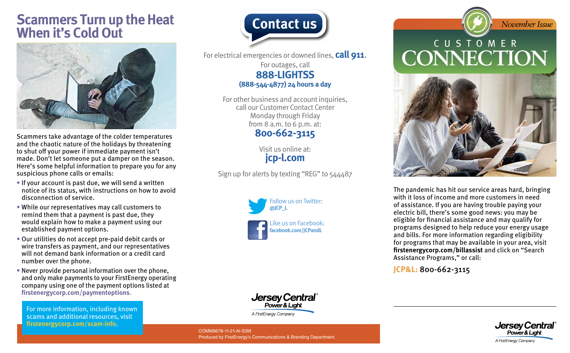## **Scammers Turn up the Heat When it's Cold Out**



Scammers take advantage of the colder temperatures and the chaotic nature of the holidays by threatening to shut off your power if immediate payment isn't made. Don't let someone put a damper on the season. Here's some helpful information to prepare you for any suspicious phone calls or emails:

- If your account is past due, we will send a written notice of its status, with instructions on how to avoid disconnection of service.
- While our representatives may call customers to remind them that a payment is past due, they would explain how to make a payment using our established payment options.
- Our utilities do not accept pre-paid debit cards or wire transfers as payment, and our representatives will not demand bank information or a credit card number over the phone.
- Never provide personal information over the phone, and only make payments to your FirstEnergy operating company using one of the payment options listed at **[firstenergycorp.com/paymentoptions](https://firstenergycorp.com/help/billingpayments.html)**.

For more information, including known scams and additional resources, visit **[firstenergycorp.com/scam-info](https://firstenergycorp.com/help/safety/scam-info.html)**.



For electrical emergencies or downed lines, **call 911**. For outages, call **888-LIGHTSS (888-544-4877) 24 hours a day**

> For other business and account inquiries. call our Customer Contact Center Monday through Friday from 8 a.m. to 6 p.m. at: **800-662-3115**

> > Visit us online at: **[jcp-l.com](https://www.firstenergycorp.com/jersey_central_power_light.html)**

Sign up for alerts by texting "REG" to 544487





COMM9678-11-21-AI-S3M Produced by FirstEnergy's Communications & Branding Department.

## CUSTOMER **CONNECTION**

*November Issue*



The pandemic has hit our service areas hard, bringing with it loss of income and more customers in need of assistance. If you are having trouble paying your electric bill, there's some good news: you may be eligible for financial assistance and may qualify for programs designed to help reduce your energy usage and bills. For more information regarding eligibility for programs that may be available in your area, visit **firstenergycorp.com/billassist** and click on "Search Assistance Programs," or call:

**JCP&L:** 800-662-3115